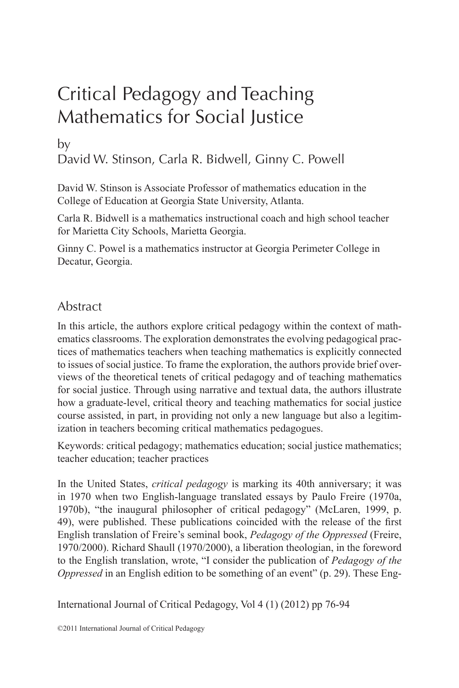# Critical Pedagogy and Teaching Mathematics for Social Justice

# by David W. Stinson, Carla R. Bidwell, Ginny C. Powell

David W. Stinson is Associate Professor of mathematics education in the College of Education at Georgia State University, Atlanta.

Carla R. Bidwell is a mathematics instructional coach and high school teacher for Marietta City Schools, Marietta Georgia.

Ginny C. Powel is a mathematics instructor at Georgia Perimeter College in Decatur, Georgia.

# Abstract

In this article, the authors explore critical pedagogy within the context of mathematics classrooms. The exploration demonstrates the evolving pedagogical practices of mathematics teachers when teaching mathematics is explicitly connected to issues of social justice. To frame the exploration, the authors provide brief overviews of the theoretical tenets of critical pedagogy and of teaching mathematics for social justice. Through using narrative and textual data, the authors illustrate how a graduate-level, critical theory and teaching mathematics for social justice course assisted, in part, in providing not only a new language but also a legitimization in teachers becoming critical mathematics pedagogues.

Keywords: critical pedagogy; mathematics education; social justice mathematics; teacher education; teacher practices

In the United States, *critical pedagogy* is marking its 40th anniversary; it was in 1970 when two English-language translated essays by Paulo Freire (1970a, 1970b), "the inaugural philosopher of critical pedagogy" (McLaren, 1999, p. 49), were published. These publications coincided with the release of the first English translation of Freire's seminal book, *Pedagogy of the Oppressed* (Freire, 1970/2000). Richard Shaull (1970/2000), a liberation theologian, in the foreword to the English translation, wrote, "I consider the publication of *Pedagogy of the Oppressed* in an English edition to be something of an event" (p. 29). These Eng-

International Journal of Critical Pedagogy, Vol 4 (1) (2012) pp 76-94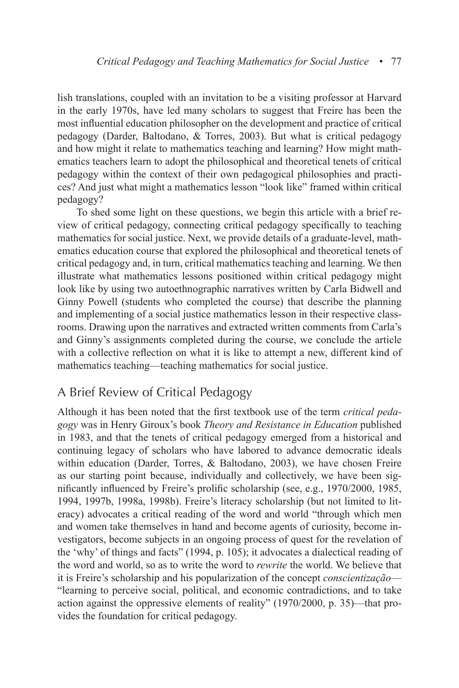lish translations, coupled with an invitation to be a visiting professor at Harvard in the early 1970s, have led many scholars to suggest that Freire has been the most influential education philosopher on the development and practice of critical pedagogy (Darder, Baltodano, & Torres, 2003). But what is critical pedagogy and how might it relate to mathematics teaching and learning? How might mathematics teachers learn to adopt the philosophical and theoretical tenets of critical pedagogy within the context of their own pedagogical philosophies and practices? And just what might a mathematics lesson "look like" framed within critical pedagogy?

To shed some light on these questions, we begin this article with a brief review of critical pedagogy, connecting critical pedagogy specifically to teaching mathematics for social justice. Next, we provide details of a graduate-level, mathematics education course that explored the philosophical and theoretical tenets of critical pedagogy and, in turn, critical mathematics teaching and learning. We then illustrate what mathematics lessons positioned within critical pedagogy might look like by using two autoethnographic narratives written by Carla Bidwell and Ginny Powell (students who completed the course) that describe the planning and implementing of a social justice mathematics lesson in their respective classrooms. Drawing upon the narratives and extracted written comments from Carla's and Ginny's assignments completed during the course, we conclude the article with a collective reflection on what it is like to attempt a new, different kind of mathematics teaching—teaching mathematics for social justice.

### A Brief Review of Critical Pedagogy

Although it has been noted that the first textbook use of the term *critical pedagogy* was in Henry Giroux's book *Theory and Resistance in Education* published in 1983, and that the tenets of critical pedagogy emerged from a historical and continuing legacy of scholars who have labored to advance democratic ideals within education (Darder, Torres, & Baltodano, 2003), we have chosen Freire as our starting point because, individually and collectively, we have been significantly influenced by Freire's prolific scholarship (see, e.g., 1970/2000, 1985, 1994, 1997b, 1998a, 1998b). Freire's literacy scholarship (but not limited to literacy) advocates a critical reading of the word and world "through which men and women take themselves in hand and become agents of curiosity, become investigators, become subjects in an ongoing process of quest for the revelation of the 'why' of things and facts" (1994, p. 105); it advocates a dialectical reading of the word and world, so as to write the word to *rewrite* the world. We believe that it is Freire's scholarship and his popularization of the concept *conscientização*— "learning to perceive social, political, and economic contradictions, and to take action against the oppressive elements of reality" (1970/2000, p. 35)—that provides the foundation for critical pedagogy.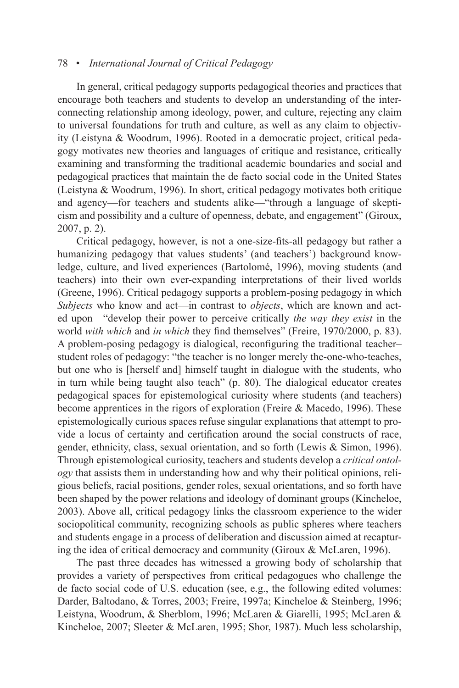In general, critical pedagogy supports pedagogical theories and practices that encourage both teachers and students to develop an understanding of the interconnecting relationship among ideology, power, and culture, rejecting any claim to universal foundations for truth and culture, as well as any claim to objectivity (Leistyna & Woodrum, 1996). Rooted in a democratic project, critical pedagogy motivates new theories and languages of critique and resistance, critically examining and transforming the traditional academic boundaries and social and pedagogical practices that maintain the de facto social code in the United States (Leistyna & Woodrum, 1996). In short, critical pedagogy motivates both critique and agency—for teachers and students alike—"through a language of skepticism and possibility and a culture of openness, debate, and engagement" (Giroux, 2007, p. 2).

Critical pedagogy, however, is not a one-size-fits-all pedagogy but rather a humanizing pedagogy that values students' (and teachers') background knowledge, culture, and lived experiences (Bartolomé, 1996), moving students (and teachers) into their own ever-expanding interpretations of their lived worlds (Greene, 1996). Critical pedagogy supports a problem-posing pedagogy in which *Subjects* who know and act—in contrast to *objects*, which are known and acted upon—"develop their power to perceive critically *the way they exist* in the world *with which* and *in which* they find themselves" (Freire, 1970/2000, p. 83). A problem-posing pedagogy is dialogical, reconfiguring the traditional teacher– student roles of pedagogy: "the teacher is no longer merely the-one-who-teaches, but one who is [herself and] himself taught in dialogue with the students, who in turn while being taught also teach" (p. 80). The dialogical educator creates pedagogical spaces for epistemological curiosity where students (and teachers) become apprentices in the rigors of exploration (Freire & Macedo, 1996). These epistemologically curious spaces refuse singular explanations that attempt to provide a locus of certainty and certification around the social constructs of race, gender, ethnicity, class, sexual orientation, and so forth (Lewis & Simon, 1996). Through epistemological curiosity, teachers and students develop a *critical ontology* that assists them in understanding how and why their political opinions, religious beliefs, racial positions, gender roles, sexual orientations, and so forth have been shaped by the power relations and ideology of dominant groups (Kincheloe, 2003). Above all, critical pedagogy links the classroom experience to the wider sociopolitical community, recognizing schools as public spheres where teachers and students engage in a process of deliberation and discussion aimed at recapturing the idea of critical democracy and community (Giroux & McLaren, 1996).

The past three decades has witnessed a growing body of scholarship that provides a variety of perspectives from critical pedagogues who challenge the de facto social code of U.S. education (see, e.g., the following edited volumes: Darder, Baltodano, & Torres, 2003; Freire, 1997a; Kincheloe & Steinberg, 1996; Leistyna, Woodrum, & Sherblom, 1996; McLaren & Giarelli, 1995; McLaren & Kincheloe, 2007; Sleeter & McLaren, 1995; Shor, 1987). Much less scholarship,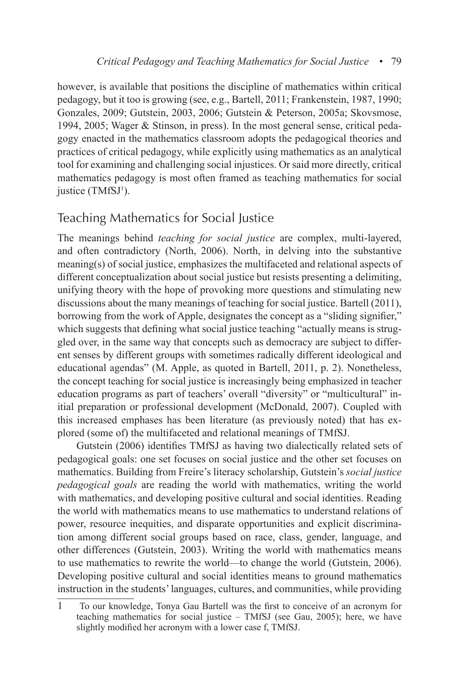however, is available that positions the discipline of mathematics within critical pedagogy, but it too is growing (see, e.g., Bartell, 2011; Frankenstein, 1987, 1990; Gonzales, 2009; Gutstein, 2003, 2006; Gutstein & Peterson, 2005a; Skovsmose, 1994, 2005; Wager & Stinson, in press). In the most general sense, critical pedagogy enacted in the mathematics classroom adopts the pedagogical theories and practices of critical pedagogy, while explicitly using mathematics as an analytical tool for examining and challenging social injustices. Or said more directly, critical mathematics pedagogy is most often framed as teaching mathematics for social justice (TMfSJ<sup>1</sup>).

# Teaching Mathematics for Social Justice

The meanings behind *teaching for social justice* are complex, multi-layered, and often contradictory (North, 2006). North, in delving into the substantive meaning(s) of social justice, emphasizes the multifaceted and relational aspects of different conceptualization about social justice but resists presenting a delimiting, unifying theory with the hope of provoking more questions and stimulating new discussions about the many meanings of teaching for social justice. Bartell (2011), borrowing from the work of Apple, designates the concept as a "sliding signifier," which suggests that defining what social justice teaching "actually means is struggled over, in the same way that concepts such as democracy are subject to different senses by different groups with sometimes radically different ideological and educational agendas" (M. Apple, as quoted in Bartell, 2011, p. 2). Nonetheless, the concept teaching for social justice is increasingly being emphasized in teacher education programs as part of teachers' overall "diversity" or "multicultural" initial preparation or professional development (McDonald, 2007). Coupled with this increased emphases has been literature (as previously noted) that has explored (some of) the multifaceted and relational meanings of TMfSJ.

Gutstein (2006) identifies TMfSJ as having two dialectically related sets of pedagogical goals: one set focuses on social justice and the other set focuses on mathematics. Building from Freire's literacy scholarship, Gutstein's *social justice pedagogical goals* are reading the world with mathematics, writing the world with mathematics, and developing positive cultural and social identities. Reading the world with mathematics means to use mathematics to understand relations of power, resource inequities, and disparate opportunities and explicit discrimination among different social groups based on race, class, gender, language, and other differences (Gutstein, 2003). Writing the world with mathematics means to use mathematics to rewrite the world—to change the world (Gutstein, 2006). Developing positive cultural and social identities means to ground mathematics instruction in the students' languages, cultures, and communities, while providing

<sup>1</sup> To our knowledge, Tonya Gau Bartell was the first to conceive of an acronym for teaching mathematics for social justice – TMfSJ (see Gau, 2005); here, we have slightly modified her acronym with a lower case f, TMfSJ.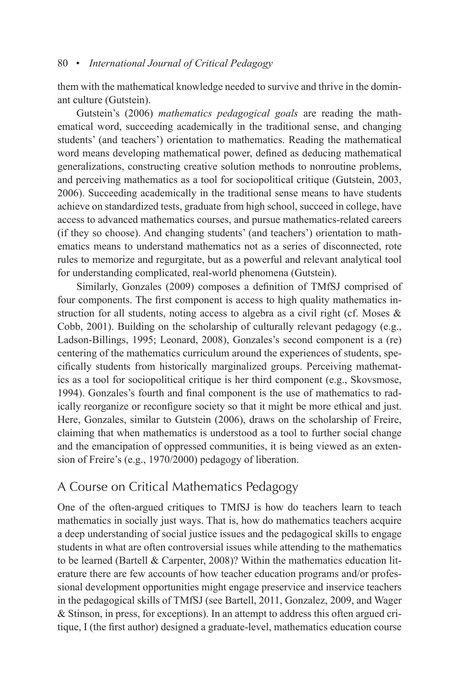them with the mathematical knowledge needed to survive and thrive in the dominant culture (Gutstein).

Gutstein's (2006) *mathematics pedagogical goals* are reading the mathematical word, succeeding academically in the traditional sense, and changing students' (and teachers') orientation to mathematics. Reading the mathematical word means developing mathematical power, defined as deducing mathematical generalizations, constructing creative solution methods to nonroutine problems, and perceiving mathematics as a tool for sociopolitical critique (Gutstein, 2003, 2006). Succeeding academically in the traditional sense means to have students achieve on standardized tests, graduate from high school, succeed in college, have access to advanced mathematics courses, and pursue mathematics-related careers (if they so choose). And changing students' (and teachers') orientation to mathematics means to understand mathematics not as a series of disconnected, rote rules to memorize and regurgitate, but as a powerful and relevant analytical tool for understanding complicated, real-world phenomena (Gutstein).

Similarly, Gonzales (2009) composes a definition of TMfSJ comprised of four components. The first component is access to high quality mathematics instruction for all students, noting access to algebra as a civil right (cf. Moses  $\&$ Cobb, 2001). Building on the scholarship of culturally relevant pedagogy (e.g., Ladson-Billings, 1995; Leonard, 2008), Gonzales's second component is a (re) centering of the mathematics curriculum around the experiences of students, specifically students from historically marginalized groups. Perceiving mathematics as a tool for sociopolitical critique is her third component (e.g., Skovsmose, 1994). Gonzales's fourth and final component is the use of mathematics to radically reorganize or reconfigure society so that it might be more ethical and just. Here, Gonzales, similar to Gutstein (2006), draws on the scholarship of Freire, claiming that when mathematics is understood as a tool to further social change and the emancipation of oppressed communities, it is being viewed as an extension of Freire's (e.g., 1970/2000) pedagogy of liberation.

### A Course on Critical Mathematics Pedagogy

One of the often-argued critiques to TMfSJ is how do teachers learn to teach mathematics in socially just ways. That is, how do mathematics teachers acquire a deep understanding of social justice issues and the pedagogical skills to engage students in what are often controversial issues while attending to the mathematics to be learned (Bartell & Carpenter, 2008)? Within the mathematics education literature there are few accounts of how teacher education programs and/or professional development opportunities might engage preservice and inservice teachers in the pedagogical skills of TMfSJ (see Bartell, 2011, Gonzalez, 2009, and Wager & Stinson, in press, for exceptions). In an attempt to address this often argued critique, I (the first author) designed a graduate-level, mathematics education course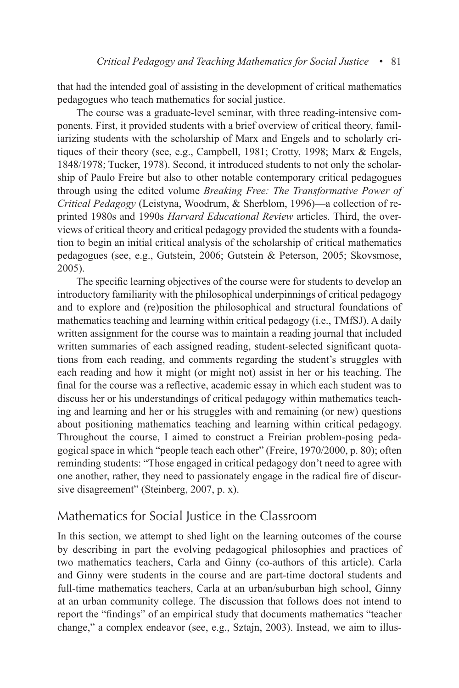that had the intended goal of assisting in the development of critical mathematics pedagogues who teach mathematics for social justice.

The course was a graduate-level seminar, with three reading-intensive components. First, it provided students with a brief overview of critical theory, familiarizing students with the scholarship of Marx and Engels and to scholarly critiques of their theory (see, e.g., Campbell, 1981; Crotty, 1998; Marx & Engels, 1848/1978; Tucker, 1978). Second, it introduced students to not only the scholarship of Paulo Freire but also to other notable contemporary critical pedagogues through using the edited volume *Breaking Free: The Transformative Power of Critical Pedagogy* (Leistyna, Woodrum, & Sherblom, 1996)—a collection of reprinted 1980s and 1990s *Harvard Educational Review* articles. Third, the overviews of critical theory and critical pedagogy provided the students with a foundation to begin an initial critical analysis of the scholarship of critical mathematics pedagogues (see, e.g., Gutstein, 2006; Gutstein & Peterson, 2005; Skovsmose, 2005).

The specific learning objectives of the course were for students to develop an introductory familiarity with the philosophical underpinnings of critical pedagogy and to explore and (re)position the philosophical and structural foundations of mathematics teaching and learning within critical pedagogy (i.e., TMfSJ). A daily written assignment for the course was to maintain a reading journal that included written summaries of each assigned reading, student-selected significant quotations from each reading, and comments regarding the student's struggles with each reading and how it might (or might not) assist in her or his teaching. The final for the course was a reflective, academic essay in which each student was to discuss her or his understandings of critical pedagogy within mathematics teaching and learning and her or his struggles with and remaining (or new) questions about positioning mathematics teaching and learning within critical pedagogy. Throughout the course, I aimed to construct a Freirian problem-posing pedagogical space in which "people teach each other" (Freire, 1970/2000, p. 80); often reminding students: "Those engaged in critical pedagogy don't need to agree with one another, rather, they need to passionately engage in the radical fire of discursive disagreement" (Steinberg, 2007, p. x).

#### Mathematics for Social Justice in the Classroom

In this section, we attempt to shed light on the learning outcomes of the course by describing in part the evolving pedagogical philosophies and practices of two mathematics teachers, Carla and Ginny (co-authors of this article). Carla and Ginny were students in the course and are part-time doctoral students and full-time mathematics teachers, Carla at an urban/suburban high school, Ginny at an urban community college. The discussion that follows does not intend to report the "findings" of an empirical study that documents mathematics "teacher change," a complex endeavor (see, e.g., Sztajn, 2003). Instead, we aim to illus-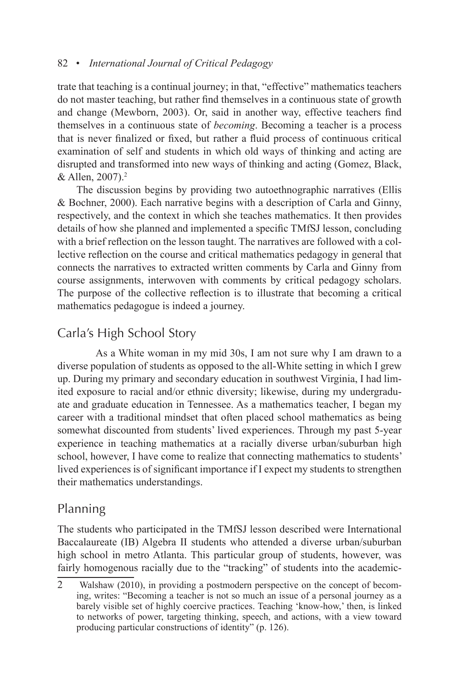trate that teaching is a continual journey; in that, "effective" mathematics teachers do not master teaching, but rather find themselves in a continuous state of growth and change (Mewborn, 2003). Or, said in another way, effective teachers find themselves in a continuous state of *becoming*. Becoming a teacher is a process that is never finalized or fixed, but rather a fluid process of continuous critical examination of self and students in which old ways of thinking and acting are disrupted and transformed into new ways of thinking and acting (Gomez, Black, & Allen,  $2007$ ).<sup>2</sup>

The discussion begins by providing two autoethnographic narratives (Ellis & Bochner, 2000). Each narrative begins with a description of Carla and Ginny, respectively, and the context in which she teaches mathematics. It then provides details of how she planned and implemented a specific TMfSJ lesson, concluding with a brief reflection on the lesson taught. The narratives are followed with a collective reflection on the course and critical mathematics pedagogy in general that connects the narratives to extracted written comments by Carla and Ginny from course assignments, interwoven with comments by critical pedagogy scholars. The purpose of the collective reflection is to illustrate that becoming a critical mathematics pedagogue is indeed a journey.

# Carla's High School Story

As a White woman in my mid 30s, I am not sure why I am drawn to a diverse population of students as opposed to the all-White setting in which I grew up. During my primary and secondary education in southwest Virginia, I had limited exposure to racial and/or ethnic diversity; likewise, during my undergraduate and graduate education in Tennessee. As a mathematics teacher, I began my career with a traditional mindset that often placed school mathematics as being somewhat discounted from students' lived experiences. Through my past 5-year experience in teaching mathematics at a racially diverse urban/suburban high school, however, I have come to realize that connecting mathematics to students' lived experiences is of significant importance if I expect my students to strengthen their mathematics understandings.

# Planning

The students who participated in the TMfSJ lesson described were International Baccalaureate (IB) Algebra II students who attended a diverse urban/suburban high school in metro Atlanta. This particular group of students, however, was fairly homogenous racially due to the "tracking" of students into the academic-

<sup>2</sup> Walshaw (2010), in providing a postmodern perspective on the concept of becoming, writes: "Becoming a teacher is not so much an issue of a personal journey as a barely visible set of highly coercive practices. Teaching 'know-how,' then, is linked to networks of power, targeting thinking, speech, and actions, with a view toward producing particular constructions of identity" (p. 126).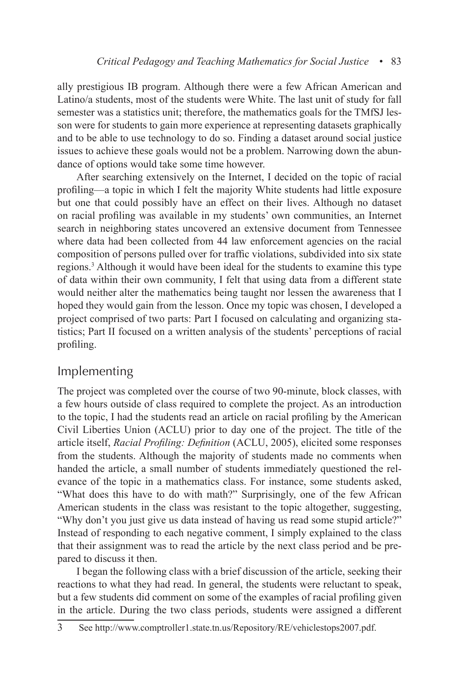ally prestigious IB program. Although there were a few African American and Latino/a students, most of the students were White. The last unit of study for fall semester was a statistics unit; therefore, the mathematics goals for the TMfSJ lesson were for students to gain more experience at representing datasets graphically and to be able to use technology to do so. Finding a dataset around social justice issues to achieve these goals would not be a problem. Narrowing down the abundance of options would take some time however.

After searching extensively on the Internet, I decided on the topic of racial profiling—a topic in which I felt the majority White students had little exposure but one that could possibly have an effect on their lives. Although no dataset on racial profiling was available in my students' own communities, an Internet search in neighboring states uncovered an extensive document from Tennessee where data had been collected from 44 law enforcement agencies on the racial composition of persons pulled over for traffic violations, subdivided into six state regions.<sup>3</sup> Although it would have been ideal for the students to examine this type of data within their own community, I felt that using data from a different state would neither alter the mathematics being taught nor lessen the awareness that I hoped they would gain from the lesson. Once my topic was chosen, I developed a project comprised of two parts: Part I focused on calculating and organizing statistics; Part II focused on a written analysis of the students' perceptions of racial profiling.

### Implementing

The project was completed over the course of two 90-minute, block classes, with a few hours outside of class required to complete the project. As an introduction to the topic, I had the students read an article on racial profiling by the American Civil Liberties Union (ACLU) prior to day one of the project. The title of the article itself, *Racial Profiling: Definition* (ACLU, 2005), elicited some responses from the students. Although the majority of students made no comments when handed the article, a small number of students immediately questioned the relevance of the topic in a mathematics class. For instance, some students asked, "What does this have to do with math?" Surprisingly, one of the few African American students in the class was resistant to the topic altogether, suggesting, "Why don't you just give us data instead of having us read some stupid article?" Instead of responding to each negative comment, I simply explained to the class that their assignment was to read the article by the next class period and be prepared to discuss it then.

I began the following class with a brief discussion of the article, seeking their reactions to what they had read. In general, the students were reluctant to speak, but a few students did comment on some of the examples of racial profiling given in the article. During the two class periods, students were assigned a different

<sup>3</sup> See http://www.comptroller1.state.tn.us/Repository/RE/vehiclestops2007.pdf.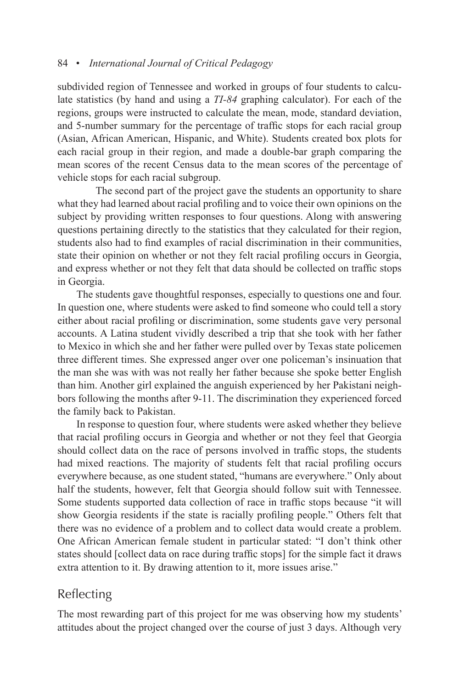subdivided region of Tennessee and worked in groups of four students to calculate statistics (by hand and using a *TI-84* graphing calculator). For each of the regions, groups were instructed to calculate the mean, mode, standard deviation, and 5-number summary for the percentage of traffic stops for each racial group (Asian, African American, Hispanic, and White). Students created box plots for each racial group in their region, and made a double-bar graph comparing the mean scores of the recent Census data to the mean scores of the percentage of vehicle stops for each racial subgroup.

The second part of the project gave the students an opportunity to share what they had learned about racial profiling and to voice their own opinions on the subject by providing written responses to four questions. Along with answering questions pertaining directly to the statistics that they calculated for their region, students also had to find examples of racial discrimination in their communities, state their opinion on whether or not they felt racial profiling occurs in Georgia, and express whether or not they felt that data should be collected on traffic stops in Georgia.

The students gave thoughtful responses, especially to questions one and four. In question one, where students were asked to find someone who could tell a story either about racial profiling or discrimination, some students gave very personal accounts. A Latina student vividly described a trip that she took with her father to Mexico in which she and her father were pulled over by Texas state policemen three different times. She expressed anger over one policeman's insinuation that the man she was with was not really her father because she spoke better English than him. Another girl explained the anguish experienced by her Pakistani neighbors following the months after 9-11. The discrimination they experienced forced the family back to Pakistan.

In response to question four, where students were asked whether they believe that racial profiling occurs in Georgia and whether or not they feel that Georgia should collect data on the race of persons involved in traffic stops, the students had mixed reactions. The majority of students felt that racial profiling occurs everywhere because, as one student stated, "humans are everywhere." Only about half the students, however, felt that Georgia should follow suit with Tennessee. Some students supported data collection of race in traffic stops because "it will show Georgia residents if the state is racially profiling people." Others felt that there was no evidence of a problem and to collect data would create a problem. One African American female student in particular stated: "I don't think other states should [collect data on race during traffic stops] for the simple fact it draws extra attention to it. By drawing attention to it, more issues arise."

# Reflecting

The most rewarding part of this project for me was observing how my students' attitudes about the project changed over the course of just 3 days. Although very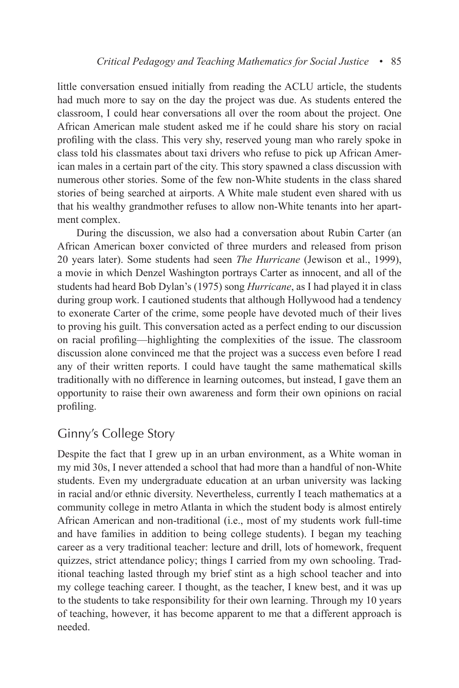little conversation ensued initially from reading the ACLU article, the students had much more to say on the day the project was due. As students entered the classroom, I could hear conversations all over the room about the project. One African American male student asked me if he could share his story on racial profiling with the class. This very shy, reserved young man who rarely spoke in class told his classmates about taxi drivers who refuse to pick up African American males in a certain part of the city. This story spawned a class discussion with numerous other stories. Some of the few non-White students in the class shared stories of being searched at airports. A White male student even shared with us that his wealthy grandmother refuses to allow non-White tenants into her apartment complex.

During the discussion, we also had a conversation about Rubin Carter (an African American boxer convicted of three murders and released from prison 20 years later). Some students had seen *The Hurricane* (Jewison et al., 1999), a movie in which Denzel Washington portrays Carter as innocent, and all of the students had heard Bob Dylan's (1975) song *Hurricane*, as I had played it in class during group work. I cautioned students that although Hollywood had a tendency to exonerate Carter of the crime, some people have devoted much of their lives to proving his guilt. This conversation acted as a perfect ending to our discussion on racial profiling—highlighting the complexities of the issue. The classroom discussion alone convinced me that the project was a success even before I read any of their written reports. I could have taught the same mathematical skills traditionally with no difference in learning outcomes, but instead, I gave them an opportunity to raise their own awareness and form their own opinions on racial profiling.

### Ginny's College Story

Despite the fact that I grew up in an urban environment, as a White woman in my mid 30s, I never attended a school that had more than a handful of non-White students. Even my undergraduate education at an urban university was lacking in racial and/or ethnic diversity. Nevertheless, currently I teach mathematics at a community college in metro Atlanta in which the student body is almost entirely African American and non-traditional (i.e., most of my students work full-time and have families in addition to being college students). I began my teaching career as a very traditional teacher: lecture and drill, lots of homework, frequent quizzes, strict attendance policy; things I carried from my own schooling. Traditional teaching lasted through my brief stint as a high school teacher and into my college teaching career. I thought, as the teacher, I knew best, and it was up to the students to take responsibility for their own learning. Through my 10 years of teaching, however, it has become apparent to me that a different approach is needed.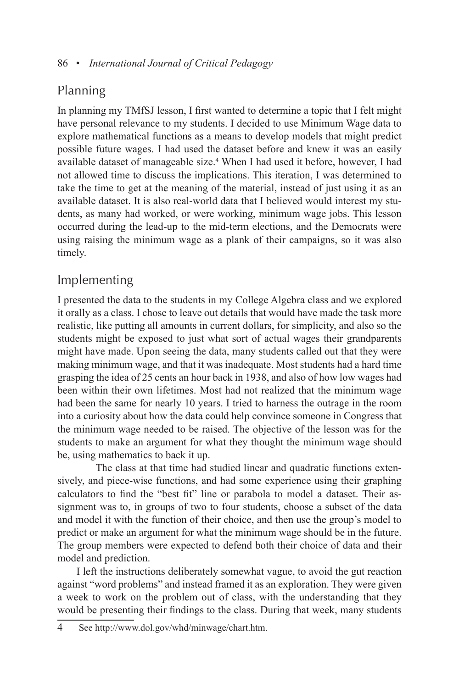# Planning

In planning my TMfSJ lesson, I first wanted to determine a topic that I felt might have personal relevance to my students. I decided to use Minimum Wage data to explore mathematical functions as a means to develop models that might predict possible future wages. I had used the dataset before and knew it was an easily available dataset of manageable size.<sup>4</sup> When I had used it before, however, I had not allowed time to discuss the implications. This iteration, I was determined to take the time to get at the meaning of the material, instead of just using it as an available dataset. It is also real-world data that I believed would interest my students, as many had worked, or were working, minimum wage jobs. This lesson occurred during the lead-up to the mid-term elections, and the Democrats were using raising the minimum wage as a plank of their campaigns, so it was also timely.

# Implementing

I presented the data to the students in my College Algebra class and we explored it orally as a class. I chose to leave out details that would have made the task more realistic, like putting all amounts in current dollars, for simplicity, and also so the students might be exposed to just what sort of actual wages their grandparents might have made. Upon seeing the data, many students called out that they were making minimum wage, and that it was inadequate. Most students had a hard time grasping the idea of 25 cents an hour back in 1938, and also of how low wages had been within their own lifetimes. Most had not realized that the minimum wage had been the same for nearly 10 years. I tried to harness the outrage in the room into a curiosity about how the data could help convince someone in Congress that the minimum wage needed to be raised. The objective of the lesson was for the students to make an argument for what they thought the minimum wage should be, using mathematics to back it up.

The class at that time had studied linear and quadratic functions extensively, and piece-wise functions, and had some experience using their graphing calculators to find the "best fit" line or parabola to model a dataset. Their assignment was to, in groups of two to four students, choose a subset of the data and model it with the function of their choice, and then use the group's model to predict or make an argument for what the minimum wage should be in the future. The group members were expected to defend both their choice of data and their model and prediction.

I left the instructions deliberately somewhat vague, to avoid the gut reaction against "word problems" and instead framed it as an exploration. They were given a week to work on the problem out of class, with the understanding that they would be presenting their findings to the class. During that week, many students

<sup>4</sup> See http://www.dol.gov/whd/minwage/chart.htm.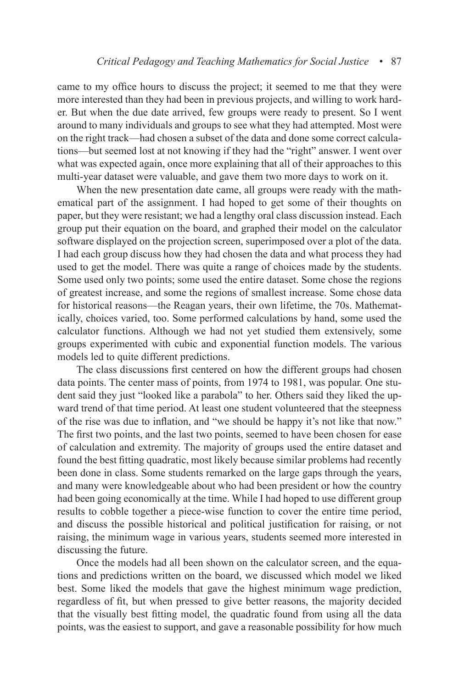came to my office hours to discuss the project; it seemed to me that they were more interested than they had been in previous projects, and willing to work harder. But when the due date arrived, few groups were ready to present. So I went around to many individuals and groups to see what they had attempted. Most were on the right track—had chosen a subset of the data and done some correct calculations—but seemed lost at not knowing if they had the "right" answer. I went over what was expected again, once more explaining that all of their approaches to this multi-year dataset were valuable, and gave them two more days to work on it.

When the new presentation date came, all groups were ready with the mathematical part of the assignment. I had hoped to get some of their thoughts on paper, but they were resistant; we had a lengthy oral class discussion instead. Each group put their equation on the board, and graphed their model on the calculator software displayed on the projection screen, superimposed over a plot of the data. I had each group discuss how they had chosen the data and what process they had used to get the model. There was quite a range of choices made by the students. Some used only two points; some used the entire dataset. Some chose the regions of greatest increase, and some the regions of smallest increase. Some chose data for historical reasons—the Reagan years, their own lifetime, the 70s. Mathematically, choices varied, too. Some performed calculations by hand, some used the calculator functions. Although we had not yet studied them extensively, some groups experimented with cubic and exponential function models. The various models led to quite different predictions.

The class discussions first centered on how the different groups had chosen data points. The center mass of points, from 1974 to 1981, was popular. One student said they just "looked like a parabola" to her. Others said they liked the upward trend of that time period. At least one student volunteered that the steepness of the rise was due to inflation, and "we should be happy it's not like that now." The first two points, and the last two points, seemed to have been chosen for ease of calculation and extremity. The majority of groups used the entire dataset and found the best fitting quadratic, most likely because similar problems had recently been done in class. Some students remarked on the large gaps through the years, and many were knowledgeable about who had been president or how the country had been going economically at the time. While I had hoped to use different group results to cobble together a piece-wise function to cover the entire time period, and discuss the possible historical and political justification for raising, or not raising, the minimum wage in various years, students seemed more interested in discussing the future.

Once the models had all been shown on the calculator screen, and the equations and predictions written on the board, we discussed which model we liked best. Some liked the models that gave the highest minimum wage prediction, regardless of fit, but when pressed to give better reasons, the majority decided that the visually best fitting model, the quadratic found from using all the data points, was the easiest to support, and gave a reasonable possibility for how much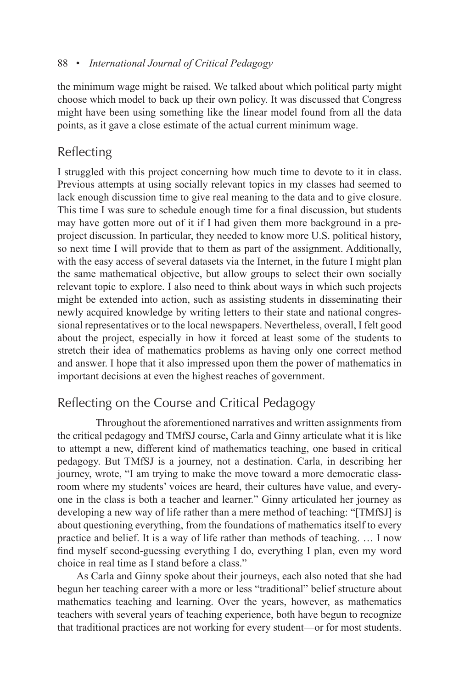the minimum wage might be raised. We talked about which political party might choose which model to back up their own policy. It was discussed that Congress might have been using something like the linear model found from all the data points, as it gave a close estimate of the actual current minimum wage.

# Reflecting

I struggled with this project concerning how much time to devote to it in class. Previous attempts at using socially relevant topics in my classes had seemed to lack enough discussion time to give real meaning to the data and to give closure. This time I was sure to schedule enough time for a final discussion, but students may have gotten more out of it if I had given them more background in a preproject discussion. In particular, they needed to know more U.S. political history, so next time I will provide that to them as part of the assignment. Additionally, with the easy access of several datasets via the Internet, in the future I might plan the same mathematical objective, but allow groups to select their own socially relevant topic to explore. I also need to think about ways in which such projects might be extended into action, such as assisting students in disseminating their newly acquired knowledge by writing letters to their state and national congressional representatives or to the local newspapers. Nevertheless, overall, I felt good about the project, especially in how it forced at least some of the students to stretch their idea of mathematics problems as having only one correct method and answer. I hope that it also impressed upon them the power of mathematics in important decisions at even the highest reaches of government.

# Reflecting on the Course and Critical Pedagogy

Throughout the aforementioned narratives and written assignments from the critical pedagogy and TMfSJ course, Carla and Ginny articulate what it is like to attempt a new, different kind of mathematics teaching, one based in critical pedagogy. But TMfSJ is a journey, not a destination. Carla, in describing her journey, wrote, "I am trying to make the move toward a more democratic classroom where my students' voices are heard, their cultures have value, and everyone in the class is both a teacher and learner." Ginny articulated her journey as developing a new way of life rather than a mere method of teaching: "[TMfSJ] is about questioning everything, from the foundations of mathematics itself to every practice and belief. It is a way of life rather than methods of teaching. … I now find myself second-guessing everything I do, everything I plan, even my word choice in real time as I stand before a class."

As Carla and Ginny spoke about their journeys, each also noted that she had begun her teaching career with a more or less "traditional" belief structure about mathematics teaching and learning. Over the years, however, as mathematics teachers with several years of teaching experience, both have begun to recognize that traditional practices are not working for every student—or for most students.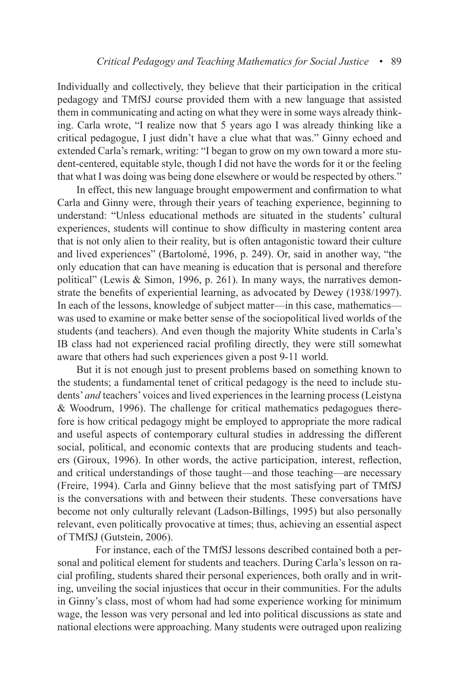Individually and collectively, they believe that their participation in the critical pedagogy and TMfSJ course provided them with a new language that assisted them in communicating and acting on what they were in some ways already thinking. Carla wrote, "I realize now that 5 years ago I was already thinking like a critical pedagogue, I just didn't have a clue what that was." Ginny echoed and extended Carla's remark, writing: "I began to grow on my own toward a more student-centered, equitable style, though I did not have the words for it or the feeling that what I was doing was being done elsewhere or would be respected by others."

In effect, this new language brought empowerment and confirmation to what Carla and Ginny were, through their years of teaching experience, beginning to understand: "Unless educational methods are situated in the students' cultural experiences, students will continue to show difficulty in mastering content area that is not only alien to their reality, but is often antagonistic toward their culture and lived experiences" (Bartolomé, 1996, p. 249). Or, said in another way, "the only education that can have meaning is education that is personal and therefore political" (Lewis & Simon, 1996, p. 261). In many ways, the narratives demonstrate the benefits of experiential learning, as advocated by Dewey (1938/1997). In each of the lessons, knowledge of subject matter—in this case, mathematics was used to examine or make better sense of the sociopolitical lived worlds of the students (and teachers). And even though the majority White students in Carla's IB class had not experienced racial profiling directly, they were still somewhat aware that others had such experiences given a post 9-11 world.

But it is not enough just to present problems based on something known to the students; a fundamental tenet of critical pedagogy is the need to include students' *and* teachers' voices and lived experiences in the learning process (Leistyna & Woodrum, 1996). The challenge for critical mathematics pedagogues therefore is how critical pedagogy might be employed to appropriate the more radical and useful aspects of contemporary cultural studies in addressing the different social, political, and economic contexts that are producing students and teachers (Giroux, 1996). In other words, the active participation, interest, reflection, and critical understandings of those taught—and those teaching—are necessary (Freire, 1994). Carla and Ginny believe that the most satisfying part of TMfSJ is the conversations with and between their students. These conversations have become not only culturally relevant (Ladson-Billings, 1995) but also personally relevant, even politically provocative at times; thus, achieving an essential aspect of TMfSJ (Gutstein, 2006).

For instance, each of the TMfSJ lessons described contained both a personal and political element for students and teachers. During Carla's lesson on racial profiling, students shared their personal experiences, both orally and in writing, unveiling the social injustices that occur in their communities. For the adults in Ginny's class, most of whom had had some experience working for minimum wage, the lesson was very personal and led into political discussions as state and national elections were approaching. Many students were outraged upon realizing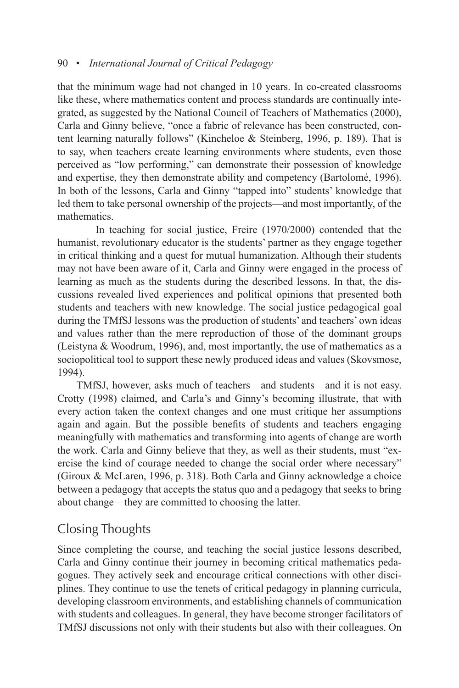that the minimum wage had not changed in 10 years. In co-created classrooms like these, where mathematics content and process standards are continually integrated, as suggested by the National Council of Teachers of Mathematics (2000), Carla and Ginny believe, "once a fabric of relevance has been constructed, content learning naturally follows" (Kincheloe & Steinberg, 1996, p. 189). That is to say, when teachers create learning environments where students, even those perceived as "low performing," can demonstrate their possession of knowledge and expertise, they then demonstrate ability and competency (Bartolomé, 1996). In both of the lessons, Carla and Ginny "tapped into" students' knowledge that led them to take personal ownership of the projects—and most importantly, of the mathematics.

In teaching for social justice, Freire (1970/2000) contended that the humanist, revolutionary educator is the students' partner as they engage together in critical thinking and a quest for mutual humanization. Although their students may not have been aware of it, Carla and Ginny were engaged in the process of learning as much as the students during the described lessons. In that, the discussions revealed lived experiences and political opinions that presented both students and teachers with new knowledge. The social justice pedagogical goal during the TMfSJ lessons was the production of students' and teachers' own ideas and values rather than the mere reproduction of those of the dominant groups (Leistyna & Woodrum, 1996), and, most importantly, the use of mathematics as a sociopolitical tool to support these newly produced ideas and values (Skovsmose, 1994).

TMfSJ, however, asks much of teachers—and students—and it is not easy. Crotty (1998) claimed, and Carla's and Ginny's becoming illustrate, that with every action taken the context changes and one must critique her assumptions again and again. But the possible benefits of students and teachers engaging meaningfully with mathematics and transforming into agents of change are worth the work. Carla and Ginny believe that they, as well as their students, must "exercise the kind of courage needed to change the social order where necessary" (Giroux & McLaren, 1996, p. 318). Both Carla and Ginny acknowledge a choice between a pedagogy that accepts the status quo and a pedagogy that seeks to bring about change—they are committed to choosing the latter.

# Closing Thoughts

Since completing the course, and teaching the social justice lessons described, Carla and Ginny continue their journey in becoming critical mathematics pedagogues. They actively seek and encourage critical connections with other disciplines. They continue to use the tenets of critical pedagogy in planning curricula, developing classroom environments, and establishing channels of communication with students and colleagues. In general, they have become stronger facilitators of TMfSJ discussions not only with their students but also with their colleagues. On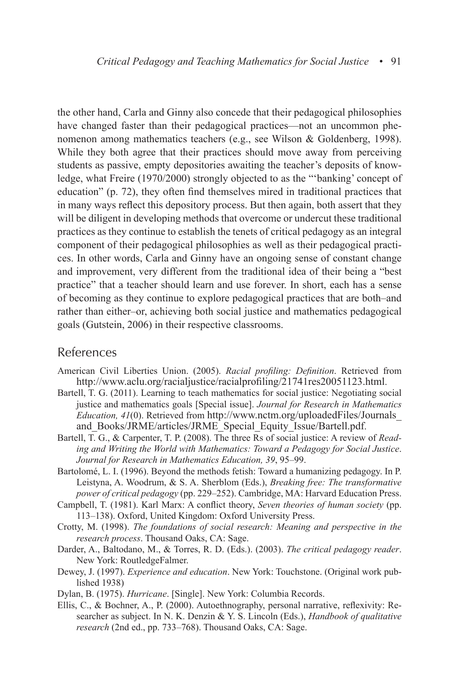the other hand, Carla and Ginny also concede that their pedagogical philosophies have changed faster than their pedagogical practices—not an uncommon phenomenon among mathematics teachers (e.g., see Wilson & Goldenberg, 1998). While they both agree that their practices should move away from perceiving students as passive, empty depositories awaiting the teacher's deposits of knowledge, what Freire (1970/2000) strongly objected to as the "'banking' concept of education" (p. 72), they often find themselves mired in traditional practices that in many ways reflect this depository process. But then again, both assert that they will be diligent in developing methods that overcome or undercut these traditional practices as they continue to establish the tenets of critical pedagogy as an integral component of their pedagogical philosophies as well as their pedagogical practices. In other words, Carla and Ginny have an ongoing sense of constant change and improvement, very different from the traditional idea of their being a "best practice" that a teacher should learn and use forever. In short, each has a sense of becoming as they continue to explore pedagogical practices that are both–and rather than either–or, achieving both social justice and mathematics pedagogical goals (Gutstein, 2006) in their respective classrooms.

#### References

- American Civil Liberties Union. (2005). *Racial profiling: Definition*. Retrieved from http://www.aclu.org/racialjustice/racialprofiling/21741res20051123.html.
- Bartell, T. G. (2011). Learning to teach mathematics for social justice: Negotiating social justice and mathematics goals [Special issue]. *Journal for Research in Mathematics Education, 41*(0). Retrieved from http://www.nctm.org/uploadedFiles/Journals\_ and\_Books/JRME/articles/JRME\_Special\_Equity\_Issue/Bartell.pdf.
- Bartell, T. G., & Carpenter, T. P. (2008). The three Rs of social justice: A review of *Reading and Writing the World with Mathematics: Toward a Pedagogy for Social Justice*. *Journal for Research in Mathematics Education, 39*, 95–99.
- Bartolomé, L. I. (1996). Beyond the methods fetish: Toward a humanizing pedagogy. In P. Leistyna, A. Woodrum, & S. A. Sherblom (Eds.), *Breaking free: The transformative power of critical pedagogy* (pp. 229–252). Cambridge, MA: Harvard Education Press.
- Campbell, T. (1981). Karl Marx: A conflict theory, *Seven theories of human society* (pp. 113–138). Oxford, United Kingdom: Oxford University Press.
- Crotty, M. (1998). *The foundations of social research: Meaning and perspective in the research process*. Thousand Oaks, CA: Sage.
- Darder, A., Baltodano, M., & Torres, R. D. (Eds.). (2003). *The critical pedagogy reader*. New York: RoutledgeFalmer.
- Dewey, J. (1997). *Experience and education*. New York: Touchstone. (Original work published 1938)
- Dylan, B. (1975). *Hurricane*. [Single]. New York: Columbia Records.
- Ellis, C., & Bochner, A., P. (2000). Autoethnography, personal narrative, reflexivity: Researcher as subject. In N. K. Denzin & Y. S. Lincoln (Eds.), *Handbook of qualitative research* (2nd ed., pp. 733–768). Thousand Oaks, CA: Sage.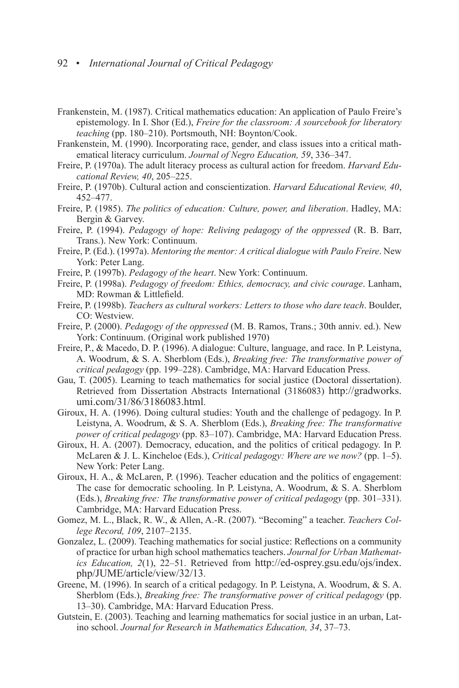- Frankenstein, M. (1987). Critical mathematics education: An application of Paulo Freire's epistemology. In I. Shor (Ed.), *Freire for the classroom: A sourcebook for liberatory teaching* (pp. 180–210). Portsmouth, NH: Boynton/Cook.
- Frankenstein, M. (1990). Incorporating race, gender, and class issues into a critical mathematical literacy curriculum. *Journal of Negro Education, 59*, 336–347.
- Freire, P. (1970a). The adult literacy process as cultural action for freedom. *Harvard Educational Review, 40*, 205–225.
- Freire, P. (1970b). Cultural action and conscientization. *Harvard Educational Review, 40*, 452–477.
- Freire, P. (1985). *The politics of education: Culture, power, and liberation*. Hadley, MA: Bergin & Garvey.
- Freire, P. (1994). *Pedagogy of hope: Reliving pedagogy of the oppressed* (R. B. Barr, Trans.). New York: Continuum.
- Freire, P. (Ed.). (1997a). *Mentoring the mentor: A critical dialogue with Paulo Freire*. New York: Peter Lang.
- Freire, P. (1997b). *Pedagogy of the heart*. New York: Continuum.
- Freire, P. (1998a). *Pedagogy of freedom: Ethics, democracy, and civic courage*. Lanham, MD: Rowman & Littlefield.
- Freire, P. (1998b). *Teachers as cultural workers: Letters to those who dare teach*. Boulder, CO: Westview.
- Freire, P. (2000). *Pedagogy of the oppressed* (M. B. Ramos, Trans.; 30th anniv. ed.). New York: Continuum. (Original work published 1970)
- Freire, P., & Macedo, D. P. (1996). A dialogue: Culture, language, and race. In P. Leistyna, A. Woodrum, & S. A. Sherblom (Eds.), *Breaking free: The transformative power of critical pedagogy* (pp. 199–228). Cambridge, MA: Harvard Education Press.
- Gau, T. (2005). Learning to teach mathematics for social justice (Doctoral dissertation). Retrieved from Dissertation Abstracts International (3186083) http://gradworks. umi.com/31/86/3186083.html.
- Giroux, H. A. (1996). Doing cultural studies: Youth and the challenge of pedagogy. In P. Leistyna, A. Woodrum, & S. A. Sherblom (Eds.), *Breaking free: The transformative power of critical pedagogy* (pp. 83–107). Cambridge, MA: Harvard Education Press.
- Giroux, H. A. (2007). Democracy, education, and the politics of critical pedagogy. In P. McLaren & J. L. Kincheloe (Eds.), *Critical pedagogy: Where are we now?* (pp. 1–5). New York: Peter Lang.
- Giroux, H. A., & McLaren, P. (1996). Teacher education and the politics of engagement: The case for democratic schooling. In P. Leistyna, A. Woodrum, & S. A. Sherblom (Eds.), *Breaking free: The transformative power of critical pedagogy* (pp. 301–331). Cambridge, MA: Harvard Education Press.
- Gomez, M. L., Black, R. W., & Allen, A.-R. (2007). "Becoming" a teacher. *Teachers College Record, 109*, 2107–2135.
- Gonzalez, L. (2009). Teaching mathematics for social justice: Reflections on a community of practice for urban high school mathematics teachers. *Journal for Urban Mathematics Education, 2*(1), 22–51. Retrieved from http://ed-osprey.gsu.edu/ojs/index. php/JUME/article/view/32/13.
- Greene, M. (1996). In search of a critical pedagogy. In P. Leistyna, A. Woodrum, & S. A. Sherblom (Eds.), *Breaking free: The transformative power of critical pedagogy* (pp. 13–30). Cambridge, MA: Harvard Education Press.
- Gutstein, E. (2003). Teaching and learning mathematics for social justice in an urban, Latino school. *Journal for Research in Mathematics Education, 34*, 37–73.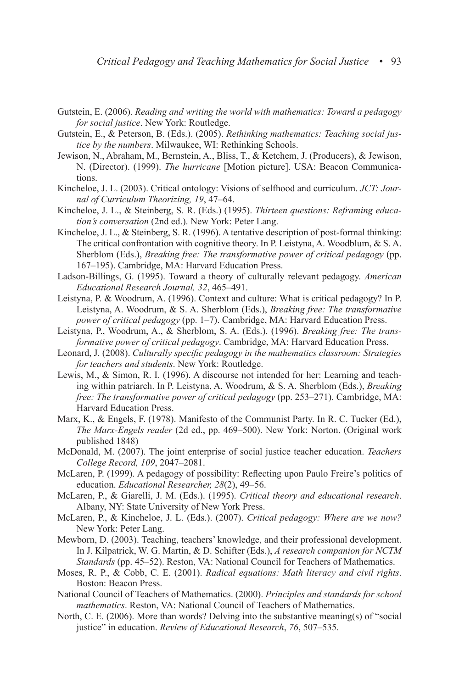- Gutstein, E. (2006). *Reading and writing the world with mathematics: Toward a pedagogy for social justice*. New York: Routledge.
- Gutstein, E., & Peterson, B. (Eds.). (2005). *Rethinking mathematics: Teaching social justice by the numbers*. Milwaukee, WI: Rethinking Schools.
- Jewison, N., Abraham, M., Bernstein, A., Bliss, T., & Ketchem, J. (Producers), & Jewison, N. (Director). (1999). *The hurricane* [Motion picture]. USA: Beacon Communications.
- Kincheloe, J. L. (2003). Critical ontology: Visions of selfhood and curriculum. *JCT: Journal of Curriculum Theorizing, 19*, 47–64.
- Kincheloe, J. L., & Steinberg, S. R. (Eds.) (1995). *Thirteen questions: Reframing education's conversation* (2nd ed.). New York: Peter Lang.
- Kincheloe, J. L., & Steinberg, S. R. (1996). A tentative description of post-formal thinking: The critical confrontation with cognitive theory. In P. Leistyna, A. Woodblum, & S. A. Sherblom (Eds.), *Breaking free: The transformative power of critical pedagogy* (pp. 167–195). Cambridge, MA: Harvard Education Press.
- Ladson-Billings, G. (1995). Toward a theory of culturally relevant pedagogy. *American Educational Research Journal, 32*, 465–491.
- Leistyna, P. & Woodrum, A. (1996). Context and culture: What is critical pedagogy? In P. Leistyna, A. Woodrum, & S. A. Sherblom (Eds.), *Breaking free: The transformative power of critical pedagogy* (pp. 1–7). Cambridge, MA: Harvard Education Press.
- Leistyna, P., Woodrum, A., & Sherblom, S. A. (Eds.). (1996). *Breaking free: The transformative power of critical pedagogy*. Cambridge, MA: Harvard Education Press.
- Leonard, J. (2008). *Culturally specific pedagogy in the mathematics classroom: Strategies for teachers and students*. New York: Routledge.
- Lewis, M., & Simon, R. I. (1996). A discourse not intended for her: Learning and teaching within patriarch. In P. Leistyna, A. Woodrum, & S. A. Sherblom (Eds.), *Breaking free: The transformative power of critical pedagogy* (pp. 253–271). Cambridge, MA: Harvard Education Press.
- Marx, K., & Engels, F. (1978). Manifesto of the Communist Party. In R. C. Tucker (Ed.), *The Marx-Engels reader* (2d ed., pp. 469–500). New York: Norton. (Original work published 1848)
- McDonald, M. (2007). The joint enterprise of social justice teacher education. *Teachers College Record, 109*, 2047–2081.
- McLaren, P. (1999). A pedagogy of possibility: Reflecting upon Paulo Freire's politics of education. *Educational Researcher, 28*(2), 49–56.
- McLaren, P., & Giarelli, J. M. (Eds.). (1995). *Critical theory and educational research*. Albany, NY: State University of New York Press.
- McLaren, P., & Kincheloe, J. L. (Eds.). (2007). *Critical pedagogy: Where are we now?* New York: Peter Lang.
- Mewborn, D. (2003). Teaching, teachers' knowledge, and their professional development. In J. Kilpatrick, W. G. Martin, & D. Schifter (Eds.), *A research companion for NCTM Standards* (pp. 45–52). Reston, VA: National Council for Teachers of Mathematics.
- Moses, R. P., & Cobb, C. E. (2001). *Radical equations: Math literacy and civil rights*. Boston: Beacon Press.
- National Council of Teachers of Mathematics. (2000). *Principles and standards for school mathematics*. Reston, VA: National Council of Teachers of Mathematics.
- North, C. E. (2006). More than words? Delving into the substantive meaning(s) of "social justice" in education. *Review of Educational Research*, *76*, 507–535.